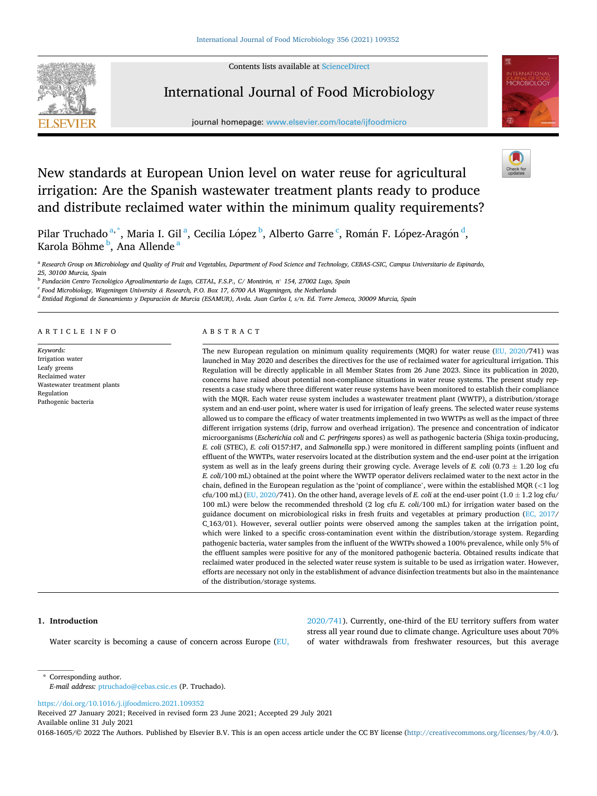Contents lists available at [ScienceDirect](www.sciencedirect.com/science/journal/01681605)



# International Journal of Food Microbiology

journal homepage: [www.elsevier.com/locate/ijfoodmicro](https://www.elsevier.com/locate/ijfoodmicro)



# New standards at European Union level on water reuse for agricultural irrigation: Are the Spanish wastewater treatment plants ready to produce and distribute reclaimed water within the minimum quality requirements?

Pilar Truchado <sup>a, \*</sup>, Maria I. Gil <sup>a</sup>, Cecilia López <sup>b</sup>, Alberto Garre <sup>c</sup>, Román F. López-Aragón <sup>d</sup>, Karola Böhme <sup>b</sup>, Ana Allende <sup>a</sup>

<sup>a</sup> Research Group on Microbiology and Quality of Fruit and Vegetables, Department of Food Science and Technology, CEBAS-CSIC, Campus Universitario de Espinardo, *25, 30100 Murcia, Spain* 

<sup>b</sup> Fundación Centro Tecnológico Agroalimentario de Lugo, CETAL, F.S.P., C∕ Montirón, n° 154, 27002 Lugo, Spain

<sup>c</sup> *Food Microbiology, Wageningen University & Research, P.O. Box 17, 6700 AA Wageningen, the Netherlands* 

<sup>d</sup> Entidad Regional de Saneamiento y Depuración de Murcia (ESAMUR), Avda. Juan Carlos I, s/n. Ed. Torre Jemeca, 30009 Murcia, Spain

## ARTICLE INFO

*Keywords:*  Irrigation water Leafy greens Reclaimed water Wastewater treatment plants Regulation Pathogenic bacteria

# ABSTRACT

The new European regulation on minimum quality requirements (MQR) for water reuse [\(EU, 2020](#page-8-0)/741) was launched in May 2020 and describes the directives for the use of reclaimed water for agricultural irrigation. This Regulation will be directly applicable in all Member States from 26 June 2023. Since its publication in 2020, concerns have raised about potential non-compliance situations in water reuse systems. The present study represents a case study where three different water reuse systems have been monitored to establish their compliance with the MQR. Each water reuse system includes a wastewater treatment plant (WWTP), a distribution/storage system and an end-user point, where water is used for irrigation of leafy greens. The selected water reuse systems allowed us to compare the efficacy of water treatments implemented in two WWTPs as well as the impact of three different irrigation systems (drip, furrow and overhead irrigation). The presence and concentration of indicator microorganisms (*Escherichia coli* and *C. perfringens* spores) as well as pathogenic bacteria (Shiga toxin-producing, *E. coli* (STEC), *E. coli* O157:H7, and *Salmonella* spp.) were monitored in different sampling points (influent and effluent of the WWTPs, water reservoirs located at the distribution system and the end-user point at the irrigation system as well as in the leafy greens during their growing cycle. Average levels of *E. coli* (0.73 ± 1.20 log cfu *E. coli*/100 mL) obtained at the point where the WWTP operator delivers reclaimed water to the next actor in the chain, defined in the European regulation as the 'point of compliance', were within the established MQR (*<*1 log cfu/100 mL) [\(EU, 2020](#page-8-0)/741). On the other hand, average levels of *E. coli* at the end-user point  $(1.0 \pm 1.2 \log \text{ctu}/$ 100 mL) were below the recommended threshold (2 log cfu *E. coli*/100 mL) for irrigation water based on the guidance document on microbiological risks in fresh fruits and vegetables at primary production [\(EC, 2017](#page-8-0)/ C<sub>163</sub>/01). However, several outlier points were observed among the samples taken at the irrigation point, which were linked to a specific cross-contamination event within the distribution/storage system. Regarding pathogenic bacteria, water samples from the influent of the WWTPs showed a 100% prevalence, while only 5% of the effluent samples were positive for any of the monitored pathogenic bacteria. Obtained results indicate that reclaimed water produced in the selected water reuse system is suitable to be used as irrigation water. However, efforts are necessary not only in the establishment of advance disinfection treatments but also in the maintenance of the distribution/storage systems.

## **1. Introduction**

Water scarcity is becoming a cause of concern across Europe [\(EU,](#page-8-0) 

[2020/741\)](#page-8-0). Currently, one-third of the EU territory suffers from water stress all year round due to climate change. Agriculture uses about 70% of water withdrawals from freshwater resources, but this average

\* Corresponding author. *E-mail address:* [ptruchado@cebas.csic.es](mailto:ptruchado@cebas.csic.es) (P. Truchado).

<https://doi.org/10.1016/j.ijfoodmicro.2021.109352>

Available online 31 July 2021 Received 27 January 2021; Received in revised form 23 June 2021; Accepted 29 July 2021

0168-1605/© 2022 The Authors. Published by Elsevier B.V. This is an open access article under the CC BY license [\(http://creativecommons.org/licenses/by/4.0/\)](http://creativecommons.org/licenses/by/4.0/).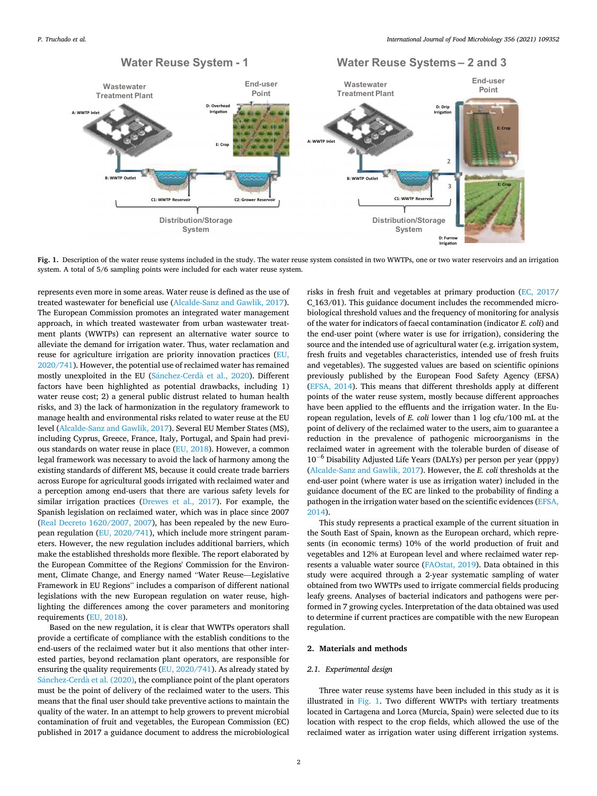<span id="page-1-0"></span>

**Fig. 1.** Description of the water reuse systems included in the study. The water reuse system consisted in two WWTPs, one or two water reservoirs and an irrigation system. A total of 5/6 sampling points were included for each water reuse system.

represents even more in some areas. Water reuse is defined as the use of treated wastewater for beneficial use [\(Alcalde-Sanz and Gawlik, 2017](#page-7-0)). The European Commission promotes an integrated water management approach, in which treated wastewater from urban wastewater treatment plants (WWTPs) can represent an alternative water source to alleviate the demand for irrigation water. Thus, water reclamation and reuse for agriculture irrigation are priority innovation practices [\(EU,](#page-8-0)  [2020/741\)](#page-8-0). However, the potential use of reclaimed water has remained mostly unexploited in the EU (Sánchez-Cerdà et al., 2020). Different factors have been highlighted as potential drawbacks, including 1) water reuse cost; 2) a general public distrust related to human health risks, and 3) the lack of harmonization in the regulatory framework to manage health and environmental risks related to water reuse at the EU level [\(Alcalde-Sanz and Gawlik, 2017](#page-7-0)). Several EU Member States (MS), including Cyprus, Greece, France, Italy, Portugal, and Spain had previous standards on water reuse in place [\(EU, 2018](#page-8-0)). However, a common legal framework was necessary to avoid the lack of harmony among the existing standards of different MS, because it could create trade barriers across Europe for agricultural goods irrigated with reclaimed water and a perception among end-users that there are various safety levels for similar irrigation practices [\(Drewes et al., 2017](#page-8-0)). For example, the Spanish legislation on reclaimed water, which was in place since 2007 ([Real Decreto 1620/2007, 2007\)](#page-8-0), has been repealed by the new European regulation ([EU, 2020/741](#page-8-0)), which include more stringent parameters. However, the new regulation includes additional barriers, which make the established thresholds more flexible. The report elaborated by the European Committee of the Regions' Commission for the Environment, Climate Change, and Energy named "Water Reuse—Legislative Framework in EU Regions" includes a comparison of different national legislations with the new European regulation on water reuse, highlighting the differences among the cover parameters and monitoring requirements [\(EU, 2018](#page-8-0)).

Based on the new regulation, it is clear that WWTPs operators shall provide a certificate of compliance with the establish conditions to the end-users of the reclaimed water but it also mentions that other interested parties, beyond reclamation plant operators, are responsible for ensuring the quality requirements [\(EU, 2020/741](#page-8-0)). As already stated by Sánchez-Cerdà et al. (2020), the compliance point of the plant operators must be the point of delivery of the reclaimed water to the users. This means that the final user should take preventive actions to maintain the quality of the water. In an attempt to help growers to prevent microbial contamination of fruit and vegetables, the European Commission (EC) published in 2017 a guidance document to address the microbiological

risks in fresh fruit and vegetables at primary production [\(EC, 2017/](#page-8-0) C\_163/01). This guidance document includes the recommended microbiological threshold values and the frequency of monitoring for analysis of the water for indicators of faecal contamination (indicator *E. coli*) and the end-user point (where water is use for irrigation), considering the source and the intended use of agricultural water (e.g. irrigation system, fresh fruits and vegetables characteristics, intended use of fresh fruits and vegetables). The suggested values are based on scientific opinions previously published by the European Food Safety Agency (EFSA) ([EFSA, 2014\)](#page-8-0). This means that different thresholds apply at different points of the water reuse system, mostly because different approaches have been applied to the effluents and the irrigation water. In the European regulation, levels of *E. coli* lower than 1 log cfu/100 mL at the point of delivery of the reclaimed water to the users, aim to guarantee a reduction in the prevalence of pathogenic microorganisms in the reclaimed water in agreement with the tolerable burden of disease of  $10^{-6}$  Disability Adjusted Life Years (DALYs) per person per year (pppy) ([Alcalde-Sanz and Gawlik, 2017](#page-7-0)). However, the *E. coli* thresholds at the end-user point (where water is use as irrigation water) included in the guidance document of the EC are linked to the probability of finding a pathogen in the irrigation water based on the scientific evidences ([EFSA,](#page-8-0)  [2014\)](#page-8-0).

This study represents a practical example of the current situation in the South East of Spain, known as the European orchard, which represents (in economic terms) 10% of the world production of fruit and vegetables and 12% at European level and where reclaimed water represents a valuable water source ([FAOstat, 2019\)](#page-8-0). Data obtained in this study were acquired through a 2-year systematic sampling of water obtained from two WWTPs used to irrigate commercial fields producing leafy greens. Analyses of bacterial indicators and pathogens were performed in 7 growing cycles. Interpretation of the data obtained was used to determine if current practices are compatible with the new European regulation.

#### **2. Materials and methods**

## *2.1. Experimental design*

Three water reuse systems have been included in this study as it is illustrated in Fig. 1. Two different WWTPs with tertiary treatments located in Cartagena and Lorca (Murcia, Spain) were selected due to its location with respect to the crop fields, which allowed the use of the reclaimed water as irrigation water using different irrigation systems.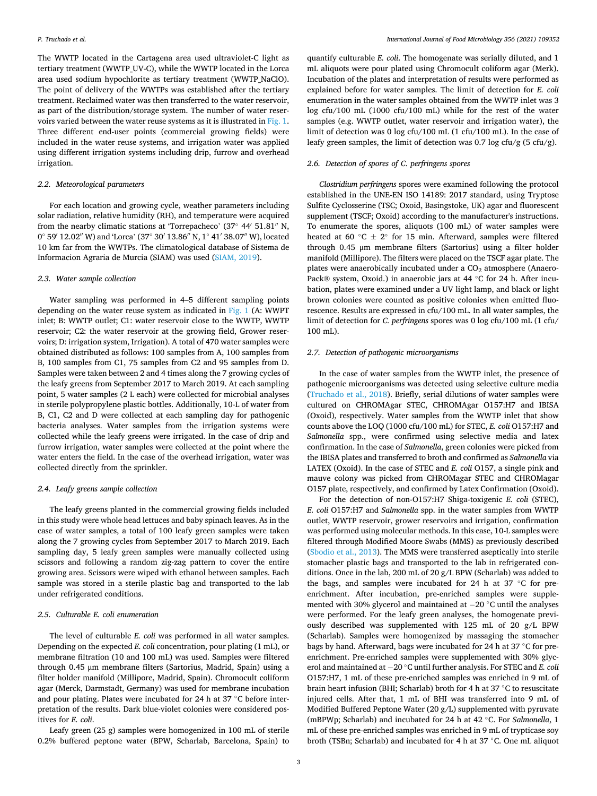The WWTP located in the Cartagena area used ultraviolet-C light as tertiary treatment (WWTP\_UV-C), while the WWTP located in the Lorca area used sodium hypochlorite as tertiary treatment (WWTP\_NaClO). The point of delivery of the WWTPs was established after the tertiary treatment. Reclaimed water was then transferred to the water reservoir, as part of the distribution/storage system. The number of water reservoirs varied between the water reuse systems as it is illustrated in [Fig. 1](#page-1-0). Three different end-user points (commercial growing fields) were included in the water reuse systems, and irrigation water was applied using different irrigation systems including drip, furrow and overhead irrigation.

# *2.2. Meteorological parameters*

For each location and growing cycle, weather parameters including solar radiation, relative humidity (RH), and temperature were acquired from the nearby climatic stations at 'Torrepacheco' (37° 44′ 51.81″ N, 0◦ 59′ 12.02′′ W) and 'Lorca' (37◦ 30′ 13.86′′ N, 1◦ 41′ 38.07′′ W), located 10 km far from the WWTPs. The climatological database of Sistema de Informacion Agraria de Murcia (SIAM) was used ([SIAM, 2019](#page-8-0)).

#### *2.3. Water sample collection*

Water sampling was performed in 4–5 different sampling points depending on the water reuse system as indicated in [Fig. 1](#page-1-0) (A: WWPT inlet; B: WWTP outlet; C1: water reservoir close to the WWTP, WWTP reservoir; C2: the water reservoir at the growing field, Grower reservoirs; D: irrigation system, Irrigation). A total of 470 water samples were obtained distributed as follows: 100 samples from A, 100 samples from B, 100 samples from C1, 75 samples from C2 and 95 samples from D. Samples were taken between 2 and 4 times along the 7 growing cycles of the leafy greens from September 2017 to March 2019. At each sampling point, 5 water samples (2 L each) were collected for microbial analyses in sterile polypropylene plastic bottles. Additionally, 10-L of water from B, C1, C2 and D were collected at each sampling day for pathogenic bacteria analyses. Water samples from the irrigation systems were collected while the leafy greens were irrigated. In the case of drip and furrow irrigation, water samples were collected at the point where the water enters the field. In the case of the overhead irrigation, water was collected directly from the sprinkler.

# *2.4. Leafy greens sample collection*

The leafy greens planted in the commercial growing fields included in this study were whole head lettuces and baby spinach leaves. As in the case of water samples, a total of 100 leafy green samples were taken along the 7 growing cycles from September 2017 to March 2019. Each sampling day, 5 leafy green samples were manually collected using scissors and following a random zig-zag pattern to cover the entire growing area. Scissors were wiped with ethanol between samples. Each sample was stored in a sterile plastic bag and transported to the lab under refrigerated conditions.

# *2.5. Culturable E. coli enumeration*

The level of culturable *E. coli* was performed in all water samples. Depending on the expected *E. coli* concentration, pour plating (1 mL), or membrane filtration (10 and 100 mL) was used. Samples were filtered through 0.45 μm membrane filters (Sartorius, Madrid, Spain) using a filter holder manifold (Millipore, Madrid, Spain). Chromocult coliform agar (Merck, Darmstadt, Germany) was used for membrane incubation and pour plating. Plates were incubated for 24 h at 37 °C before interpretation of the results. Dark blue-violet colonies were considered positives for *E. coli*.

Leafy green (25 g) samples were homogenized in 100 mL of sterile 0.2% buffered peptone water (BPW, Scharlab, Barcelona, Spain) to

quantify culturable *E. coli*. The homogenate was serially diluted, and 1 mL aliquots were pour plated using Chromocult coliform agar (Merk). Incubation of the plates and interpretation of results were performed as explained before for water samples. The limit of detection for *E. coli*  enumeration in the water samples obtained from the WWTP inlet was 3 log cfu/100 mL (1000 cfu/100 mL) while for the rest of the water samples (e.g. WWTP outlet, water reservoir and irrigation water), the limit of detection was 0 log cfu/100 mL (1 cfu/100 mL). In the case of leafy green samples, the limit of detection was 0.7 log cfu/g (5 cfu/g).

# *2.6. Detection of spores of C. perfringens spores*

*Clostridium perfringens* spores were examined following the protocol established in the UNE-EN ISO 14189: 2017 standard, using Tryptose Sulfite Cyclosserine (TSC; Oxoid, Basingstoke, UK) agar and fluorescent supplement (TSCF; Oxoid) according to the manufacturer's instructions. To enumerate the spores, aliquots (100 mL) of water samples were heated at 60 ◦C ± 2◦ for 15 min. Afterward, samples were filtered through 0.45 μm membrane filters (Sartorius) using a filter holder manifold (Millipore). The filters were placed on the TSCF agar plate. The plates were anaerobically incubated under a CO<sub>2</sub> atmosphere (Anaero-Pack® system, Oxoid.) in anaerobic jars at 44 ◦C for 24 h. After incubation, plates were examined under a UV light lamp, and black or light brown colonies were counted as positive colonies when emitted fluorescence. Results are expressed in cfu/100 mL. In all water samples, the limit of detection for *C. perfringens* spores was 0 log cfu/100 mL (1 cfu/ 100 mL).

#### *2.7. Detection of pathogenic microorganisms*

In the case of water samples from the WWTP inlet, the presence of pathogenic microorganisms was detected using selective culture media ([Truchado et al., 2018](#page-9-0)). Briefly, serial dilutions of water samples were cultured on CHROMAgar STEC, CHROMAgar O157:H7 and IBISA (Oxoid), respectively. Water samples from the WWTP inlet that show counts above the LOQ (1000 cfu/100 mL) for STEC, *E. coli* O157:H7 and *Salmonella* spp., were confirmed using selective media and latex confirmation. In the case of *Salmonella*, green colonies were picked from the IBISA plates and transferred to broth and confirmed as *Salmonella* via LATEX (Oxoid). In the case of STEC and *E. coli* O157, a single pink and mauve colony was picked from CHROMagar STEC and CHROMagar O157 plate, respectively, and confirmed by Latex Confirmation (Oxoid).

For the detection of non-O157:H7 Shiga-toxigenic *E. coli* (STEC), *E. coli* O157:H7 and *Salmonella* spp. in the water samples from WWTP outlet, WWTP reservoir, grower reservoirs and irrigation, confirmation was performed using molecular methods. In this case, 10-L samples were filtered through Modified Moore Swabs (MMS) as previously described ([Sbodio et al., 2013](#page-8-0)). The MMS were transferred aseptically into sterile stomacher plastic bags and transported to the lab in refrigerated conditions. Once in the lab, 200 mL of 20 g/L BPW (Scharlab) was added to the bags, and samples were incubated for 24 h at 37 ◦C for preenrichment. After incubation, pre-enriched samples were supplemented with 30% glycerol and maintained at − 20 ◦C until the analyses were performed. For the leafy green analyses, the homogenate previously described was supplemented with 125 mL of 20 g/L BPW (Scharlab). Samples were homogenized by massaging the stomacher bags by hand. Afterward, bags were incubated for 24 h at 37 ◦C for preenrichment. Pre-enriched samples were supplemented with 30% glycerol and maintained at − 20 ◦C until further analysis. For STEC and *E. coli*  O157:H7, 1 mL of these pre-enriched samples was enriched in 9 mL of brain heart infusion (BHI; Scharlab) broth for 4 h at 37 ◦C to resuscitate injured cells. After that, 1 mL of BHI was transferred into 9 mL of Modified Buffered Peptone Water (20 g/L) supplemented with pyruvate (mBPWp; Scharlab) and incubated for 24 h at 42 ◦C. For *Salmonella*, 1 mL of these pre-enriched samples was enriched in 9 mL of trypticase soy broth (TSBn; Scharlab) and incubated for 4 h at 37 ◦C. One mL aliquot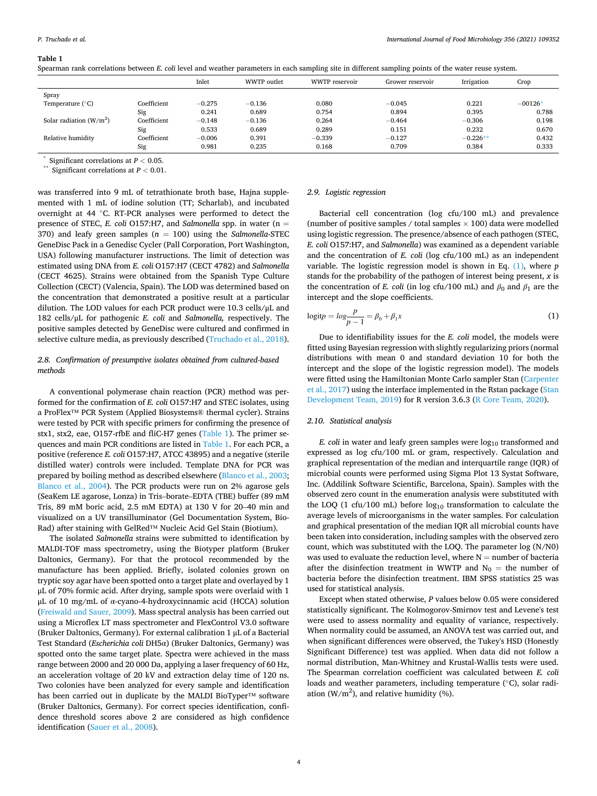#### <span id="page-3-0"></span>**Table 1**

|  |  | Spearman rank correlations between E. coli level and weather parameters in each sampling site in different sampling points of the water reuse system. |  |
|--|--|-------------------------------------------------------------------------------------------------------------------------------------------------------|--|
|  |  |                                                                                                                                                       |  |

|                           |             | Inlet    | WWTP outlet | WWTP reservoir | Grower reservoir | Irrigation | Crop      |
|---------------------------|-------------|----------|-------------|----------------|------------------|------------|-----------|
| Spray                     |             |          |             |                |                  |            |           |
| Temperature $(^{\circ}C)$ | Coefficient | $-0.275$ | $-0.136$    | 0.080          | $-0.045$         | 0.221      | $-00126*$ |
|                           | Sig         | 0.241    | 0.689       | 0.754          | 0.894            | 0.395      | 0.788     |
| Solar radiation $(W/m^2)$ | Coefficient | $-0.148$ | $-0.136$    | 0.264          | $-0.464$         | $-0.306$   | 0.198     |
|                           | Sig         | 0.533    | 0.689       | 0.289          | 0.151            | 0.232      | 0.670     |
| Relative humidity         | Coefficient | $-0.006$ | 0.391       | $-0.339$       | $-0.127$         | $-0.226**$ | 0.432     |
|                           | Sig         | 0.981    | 0.235       | 0.168          | 0.709            | 0.384      | 0.333     |

 $*$  Significant correlations at  $P < 0.05$ .<br> $*$  Significant correlations at  $P < 0.01$ .

was transferred into 9 mL of tetrathionate broth base, Hajna supplemented with 1 mL of iodine solution (TT; Scharlab), and incubated overnight at 44 ◦C. RT-PCR analyses were performed to detect the presence of STEC, *E. coli* O157:H7, and *Salmonella* spp. in water ( $n =$ 370) and leafy green samples  $(n = 100)$  using the *Salmonella-STEC* GeneDisc Pack in a Genedisc Cycler (Pall Corporation, Port Washington, USA) following manufacturer instructions. The limit of detection was estimated using DNA from *E. coli* O157:H7 (CECT 4782) and *Salmonella*  (CECT 4625). Strains were obtained from the Spanish Type Culture Collection (CECT) (Valencia, Spain). The LOD was determined based on the concentration that demonstrated a positive result at a particular dilution. The LOD values for each PCR product were 10.3 cells/μL and 182 cells/μL for pathogenic *E. coli* and *Salmonella,* respectively. The positive samples detected by GeneDisc were cultured and confirmed in selective culture media, as previously described ([Truchado et al., 2018](#page-9-0)).

# *2.8. Confirmation of presumptive isolates obtained from cultured-based methods*

A conventional polymerase chain reaction (PCR) method was performed for the confirmation of *E. coli* O157:H7 and STEC isolates, using a ProFlex™ PCR System (Applied Biosystems® thermal cycler). Strains were tested by PCR with specific primers for confirming the presence of stx1, stx2, eae, O157-rfbE and fliC-H7 genes (Table 1). The primer sequences and main PCR conditions are listed in Table 1. For each PCR, a positive (reference *E. coli* O157:H7, ATCC 43895) and a negative (sterile distilled water) controls were included. Template DNA for PCR was prepared by boiling method as described elsewhere [\(Blanco et al., 2003](#page-8-0); [Blanco et al., 2004](#page-8-0)). The PCR products were run on 2% agarose gels (SeaKem LE agarose, Lonza) in Tris–borate–EDTA (TBE) buffer (89 mM Tris, 89 mM boric acid, 2.5 mM EDTA) at 130 V for 20–40 min and visualized on a UV transilluminator (Gel Documentation System, Bio-Rad) after staining with GelRed™ Nucleic Acid Gel Stain (Biotium).

The isolated *Salmonella* strains were submitted to identification by MALDI-TOF mass spectrometry, using the Biotyper platform (Bruker Daltonics, Germany). For that the protocol recommended by the manufacture has been applied. Briefly, isolated colonies grown on tryptic soy agar have been spotted onto a target plate and overlayed by 1 μL of 70% formic acid. After drying, sample spots were overlaid with 1 μL of 10 mg/mL of α-cyano-4-hydroxycinnamic acid (HCCA) solution ([Freiwald and Sauer, 2009\)](#page-8-0). Mass spectral analysis has been carried out using a Microflex LT mass spectrometer and FlexControl V3.0 software (Bruker Daltonics, Germany). For external calibration 1 μL of a Bacterial Test Standard (*Escherichia coli* DH5α) (Bruker Daltonics, Germany) was spotted onto the same target plate. Spectra were achieved in the mass range between 2000 and 20 000 Da, applying a laser frequency of 60 Hz, an acceleration voltage of 20 kV and extraction delay time of 120 ns. Two colonies have been analyzed for every sample and identification has been carried out in duplicate by the MALDI BioTyper™ software (Bruker Daltonics, Germany). For correct species identification, confidence threshold scores above 2 are considered as high confidence identification [\(Sauer et al., 2008\)](#page-8-0).

### *2.9. Logistic regression*

Bacterial cell concentration (log cfu/100 mL) and prevalence (number of positive samples / total samples  $\times$  100) data were modelled using logistic regression. The presence/absence of each pathogen (STEC, *E. coli* O157:H7, and *Salmonella*) was examined as a dependent variable and the concentration of *E. coli* (log cfu/100 mL) as an independent variable. The logistic regression model is shown in Eq. (1), where *p*  stands for the probability of the pathogen of interest being present, *x* is the concentration of *E. coli* (in log cfu/100 mL) and  $\beta_0$  and  $\beta_1$  are the intercept and the slope coefficients.

$$
logit p = log \frac{p}{p-1} = \beta_0 + \beta_1 x \tag{1}
$$

Due to identifiability issues for the *E. coli* model, the models were fitted using Bayesian regression with slightly regularizing priors (normal distributions with mean 0 and standard deviation 10 for both the intercept and the slope of the logistic regression model). The models were fitted using the Hamiltonian Monte Carlo sampler Stan ([Carpenter](#page-8-0)  [et al., 2017\)](#page-8-0) using the interface implemented in the Rstan package [\(Stan](#page-8-0)  [Development Team, 2019\)](#page-8-0) for R version 3.6.3 ([R Core Team, 2020\)](#page-8-0).

# *2.10. Statistical analysis*

*E. coli* in water and leafy green samples were log<sub>10</sub> transformed and expressed as log cfu/100 mL or gram, respectively. Calculation and graphical representation of the median and interquartile range (IQR) of microbial counts were performed using Sigma Plot 13 Systat Software, Inc. (Addilink Software Scientific, Barcelona, Spain). Samples with the observed zero count in the enumeration analysis were substituted with the LOQ (1 cfu/100 mL) before  $log_{10}$  transformation to calculate the average levels of microorganisms in the water samples. For calculation and graphical presentation of the median IQR all microbial counts have been taken into consideration, including samples with the observed zero count, which was substituted with the LOQ. The parameter log (N/N0) was used to evaluate the reduction level, where  $N =$  number of bacteria after the disinfection treatment in WWTP and  $N_0 =$  the number of bacteria before the disinfection treatment. IBM SPSS statistics 25 was used for statistical analysis.

Except when stated otherwise, *P* values below 0.05 were considered statistically significant. The Kolmogorov-Smirnov test and Levene's test were used to assess normality and equality of variance, respectively. When normality could be assumed, an ANOVA test was carried out, and when significant differences were observed, the Tukey's HSD (Honestly Significant Difference) test was applied. When data did not follow a normal distribution, Man-Whitney and Krustal-Wallis tests were used. The Spearman correlation coefficient was calculated between *E. coli*  loads and weather parameters, including temperature (◦C), solar radiation ( $W/m<sup>2</sup>$ ), and relative humidity (%).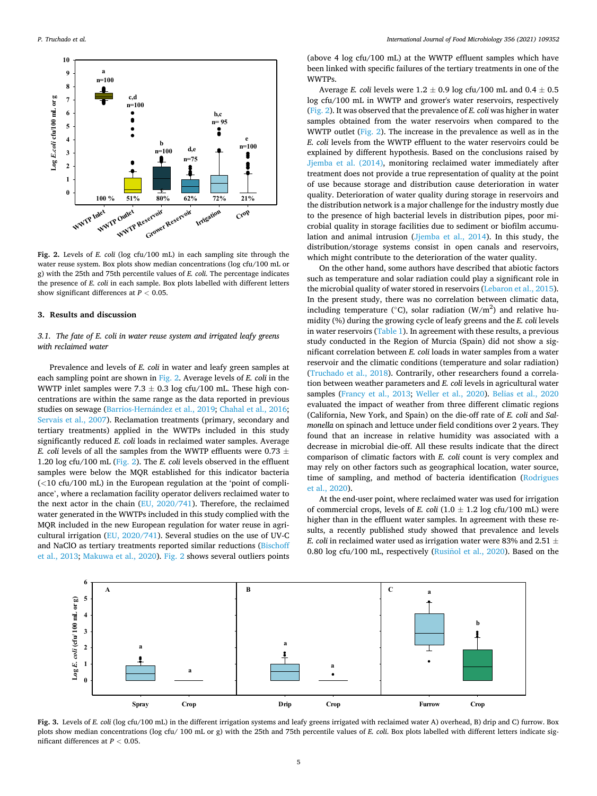<span id="page-4-0"></span>

**Fig. 2.** Levels of *E. coli* (log cfu/100 mL) in each sampling site through the water reuse system. Box plots show median concentrations (log cfu/100 mL or g) with the 25th and 75th percentile values of *E. coli*. The percentage indicates the presence of *E. coli* in each sample. Box plots labelled with different letters show significant differences at *P <* 0.05.

# **3. Results and discussion**

# *3.1. The fate of E. coli in water reuse system and irrigated leafy greens with reclaimed water*

Prevalence and levels of *E. coli* in water and leafy green samples at each sampling point are shown in Fig. 2. Average levels of *E. coli* in the WWTP inlet samples were 7.3  $\pm$  0.3 log cfu/100 mL. These high concentrations are within the same range as the data reported in previous studies on sewage (Barrios-Hernández et al., 2019; [Chahal et al., 2016](#page-8-0); [Servais et al., 2007](#page-8-0)). Reclamation treatments (primary, secondary and tertiary treatments) applied in the WWTPs included in this study significantly reduced *E. coli* loads in reclaimed water samples. Average *E. coli levels of all the samples from the WWTP effluents were 0.73*  $\pm$ 1.20 log cfu/100 mL (Fig. 2). The *E. coli* levels observed in the effluent samples were below the MQR established for this indicator bacteria (*<*10 cfu/100 mL) in the European regulation at the 'point of compliance', where a reclamation facility operator delivers reclaimed water to the next actor in the chain ([EU, 2020/741\)](#page-8-0). Therefore, the reclaimed water generated in the WWTPs included in this study complied with the MQR included in the new European regulation for water reuse in agricultural irrigation ([EU, 2020/741](#page-8-0)). Several studies on the use of UV-C and NaClO as tertiary treatments reported similar reductions [\(Bischoff](#page-8-0)  [et al., 2013](#page-8-0); [Makuwa et al., 2020](#page-8-0)). Fig. 2 shows several outliers points

(above 4 log cfu/100 mL) at the WWTP effluent samples which have been linked with specific failures of the tertiary treatments in one of the WWTPs.

Average *E. coli* levels were  $1.2 \pm 0.9$  log cfu/100 mL and  $0.4 \pm 0.5$ log cfu/100 mL in WWTP and grower's water reservoirs, respectively (Fig. 2). It was observed that the prevalence of *E. coli* was higher in water samples obtained from the water reservoirs when compared to the WWTP outlet (Fig. 2). The increase in the prevalence as well as in the *E. coli* levels from the WWTP effluent to the water reservoirs could be explained by different hypothesis. Based on the conclusions raised by [Jjemba et al. \(2014\)](#page-8-0), monitoring reclaimed water immediately after treatment does not provide a true representation of quality at the point of use because storage and distribution cause deterioration in water quality. Deterioration of water quality during storage in reservoirs and the distribution network is a major challenge for the industry mostly due to the presence of high bacterial levels in distribution pipes, poor microbial quality in storage facilities due to sediment or biofilm accumulation and animal intrusion ([Jjemba et al., 2014](#page-8-0)). In this study, the distribution/storage systems consist in open canals and reservoirs, which might contribute to the deterioration of the water quality.

On the other hand, some authors have described that abiotic factors such as temperature and solar radiation could play a significant role in the microbial quality of water stored in reservoirs [\(Lebaron et al., 2015](#page-8-0)). In the present study, there was no correlation between climatic data, including temperature ( $°C$ ), solar radiation (W/m<sup>2</sup>) and relative humidity (%) during the growing cycle of leafy greens and the *E. coli* levels in water reservoirs [\(Table 1](#page-3-0)). In agreement with these results, a previous study conducted in the Region of Murcia (Spain) did not show a significant correlation between *E. coli* loads in water samples from a water reservoir and the climatic conditions (temperature and solar radiation) ([Truchado et al., 2018](#page-9-0)). Contrarily, other researchers found a correlation between weather parameters and *E. coli* levels in agricultural water samples ([Francy et al., 2013;](#page-8-0) [Weller et al., 2020](#page-9-0)). [Belias et al., 2020](#page-8-0)  evaluated the impact of weather from three different climatic regions (California, New York, and Spain) on the die-off rate of *E. coli* and *Salmonella* on spinach and lettuce under field conditions over 2 years. They found that an increase in relative humidity was associated with a decrease in microbial die-off. All these results indicate that the direct comparison of climatic factors with *E. coli* count is very complex and may rely on other factors such as geographical location, water source, time of sampling, and method of bacteria identification [\(Rodrigues](#page-8-0)  [et al., 2020\)](#page-8-0).

At the end-user point, where reclaimed water was used for irrigation of commercial crops, levels of *E. coli*  $(1.0 \pm 1.2 \log \frac{c f u}{100 \text{ mL}})$  were higher than in the effluent water samples. In agreement with these results, a recently published study showed that prevalence and levels *E. coli* in reclaimed water used as irrigation water were 83% and 2.51  $\pm$ 0.80 log cfu/100 mL, respectively (Rusinol [et al., 2020\)](#page-8-0). Based on the



**Fig. 3.** Levels of *E. coli* (log cfu/100 mL) in the different irrigation systems and leafy greens irrigated with reclaimed water A) overhead, B) drip and C) furrow. Box plots show median concentrations (log cfu/ 100 mL or g) with the 25th and 75th percentile values of *E. coli*. Box plots labelled with different letters indicate significant differences at *P <* 0.05.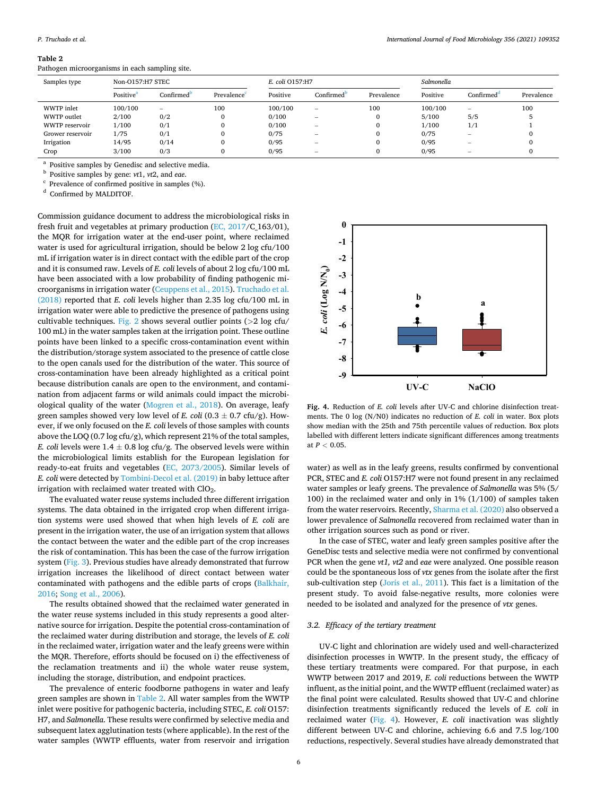#### **Table 2**

Pathogen microorganisms in each sampling site.

| Samples type     | Non-O157:H7 STEC      |                                 |            | E. coli O157:H7 |                          |            | Salmonella |                          |            |
|------------------|-----------------------|---------------------------------|------------|-----------------|--------------------------|------------|------------|--------------------------|------------|
|                  | Positive <sup>a</sup> | Confirmed                       | Prevalence | Positive        | Confirmed                | Prevalence | Positive   | Confirmed                | Prevalence |
| WWTP inlet       | 100/100               | $\hspace{0.1mm}-\hspace{0.1mm}$ | 100        | 100/100         |                          | 100        | 100/100    | $\hspace{0.05cm}$        | 100        |
| WWTP outlet      | 2/100                 | 0/2                             | 0          | 0/100           | $\overline{\phantom{a}}$ |            | 5/100      | 5/5                      |            |
| WWTP reservoir   | 1/100                 | 0/1                             | 0          | 0/100           |                          |            | 1/100      | 1/1                      |            |
| Grower reservoir | 1/75                  | 0/1                             | 0          | 0/75            | -                        |            | 0/75       | $\hspace{0.05cm}$        |            |
| Irrigation       | 14/95                 | 0/14                            | $\Omega$   | 0/95            | -                        |            | 0/95       | $\overline{\phantom{a}}$ |            |
| Crop             | 3/100                 | 0/3                             | 0          | 0/95            | -                        |            | 0/95       | -                        |            |

a Positive samples by Genedisc and selective media.<br><sup>b</sup> Positive samples by gene: *vt*1, *vt*2, and *eae*.<br><sup>c</sup> Prevalence of confirmed positive in samples (%).<br><sup>d</sup> Confirmed by MALDITOF.

Commission guidance document to address the microbiological risks in fresh fruit and vegetables at primary production [\(EC, 2017/](#page-8-0)C\_163/01), the MQR for irrigation water at the end-user point, where reclaimed water is used for agricultural irrigation, should be below 2 log cfu/100 mL if irrigation water is in direct contact with the edible part of the crop and it is consumed raw. Levels of *E. coli* levels of about 2 log cfu/100 mL have been associated with a low probability of finding pathogenic microorganisms in irrigation water ([Ceuppens et al., 2015](#page-8-0)). [Truchado et al.](#page-9-0)  [\(2018\)](#page-9-0) reported that *E. coli* levels higher than 2.35 log cfu/100 mL in irrigation water were able to predictive the presence of pathogens using cultivable techniques. [Fig. 2](#page-4-0) shows several outlier points (*>*2 log cfu/ 100 mL) in the water samples taken at the irrigation point. These outline points have been linked to a specific cross-contamination event within the distribution/storage system associated to the presence of cattle close to the open canals used for the distribution of the water. This source of cross-contamination have been already highlighted as a critical point because distribution canals are open to the environment, and contamination from adjacent farms or wild animals could impact the microbiological quality of the water [\(Mogren et al., 2018](#page-8-0)). On average, leafy green samples showed very low level of *E. coli*  $(0.3 \pm 0.7 \text{ cftu/g})$ . However, if we only focused on the *E. coli* levels of those samples with counts above the LOQ (0.7 log cfu/g), which represent 21% of the total samples, *E. coli levels were*  $1.4 \pm 0.8$  log cfu/g. The observed levels were within the microbiological limits establish for the European legislation for ready-to-eat fruits and vegetables ([EC, 2073/2005\)](#page-8-0). Similar levels of *E. coli* were detected by [Tombini-Decol et al. \(2019\)](#page-8-0) in baby lettuce after irrigation with reclaimed water treated with ClO<sub>2</sub>.

The evaluated water reuse systems included three different irrigation systems. The data obtained in the irrigated crop when different irrigation systems were used showed that when high levels of *E. coli* are present in the irrigation water, the use of an irrigation system that allows the contact between the water and the edible part of the crop increases the risk of contamination. This has been the case of the furrow irrigation system ([Fig. 3](#page-4-0)). Previous studies have already demonstrated that furrow irrigation increases the likelihood of direct contact between water contaminated with pathogens and the edible parts of crops ([Balkhair,](#page-8-0)  [2016; Song et al., 2006\)](#page-8-0).

The results obtained showed that the reclaimed water generated in the water reuse systems included in this study represents a good alternative source for irrigation. Despite the potential cross-contamination of the reclaimed water during distribution and storage, the levels of *E. coli*  in the reclaimed water, irrigation water and the leafy greens were within the MQR. Therefore, efforts should be focused on i) the effectiveness of the reclamation treatments and ii) the whole water reuse system, including the storage, distribution, and endpoint practices.

The prevalence of enteric foodborne pathogens in water and leafy green samples are shown in Table 2. All water samples from the WWTP inlet were positive for pathogenic bacteria, including STEC, *E. coli* O157: H7, and *Salmonella*. These results were confirmed by selective media and subsequent latex agglutination tests (where applicable). In the rest of the water samples (WWTP effluents, water from reservoir and irrigation



**Fig. 4.** Reduction of *E. coli* levels after UV-C and chlorine disinfection treatments. The 0 log (N/N0) indicates no reduction of *E. coli* in water. Box plots show median with the 25th and 75th percentile values of reduction. Box plots labelled with different letters indicate significant differences among treatments at  $P < 0.05$ .

water) as well as in the leafy greens, results confirmed by conventional PCR, STEC and *E. coli* O157:H7 were not found present in any reclaimed water samples or leafy greens. The prevalence of *Salmonella* was 5% (5/ 100) in the reclaimed water and only in 1% (1/100) of samples taken from the water reservoirs. Recently, [Sharma et al. \(2020\)](#page-8-0) also observed a lower prevalence of *Salmonella* recovered from reclaimed water than in other irrigation sources such as pond or river.

In the case of STEC, water and leafy green samples positive after the GeneDisc tests and selective media were not confirmed by conventional PCR when the gene *vt1, vt2* and *eae* were analyzed. One possible reason could be the spontaneous loss of *vtx* genes from the isolate after the first sub-cultivation step [\(Joris et al., 2011\)](#page-8-0). This fact is a limitation of the present study. To avoid false-negative results, more colonies were needed to be isolated and analyzed for the presence of *vtx* genes.

# *3.2. Efficacy of the tertiary treatment*

UV-C light and chlorination are widely used and well-characterized disinfection processes in WWTP. In the present study, the efficacy of these tertiary treatments were compared. For that purpose, in each WWTP between 2017 and 2019, *E. coli* reductions between the WWTP influent, as the initial point, and the WWTP effluent (reclaimed water) as the final point were calculated. Results showed that UV-C and chlorine disinfection treatments significantly reduced the levels of *E. coli* in reclaimed water (Fig. 4). However, *E. coli* inactivation was slightly different between UV-C and chlorine, achieving 6.6 and 7.5 log/100 reductions, respectively. Several studies have already demonstrated that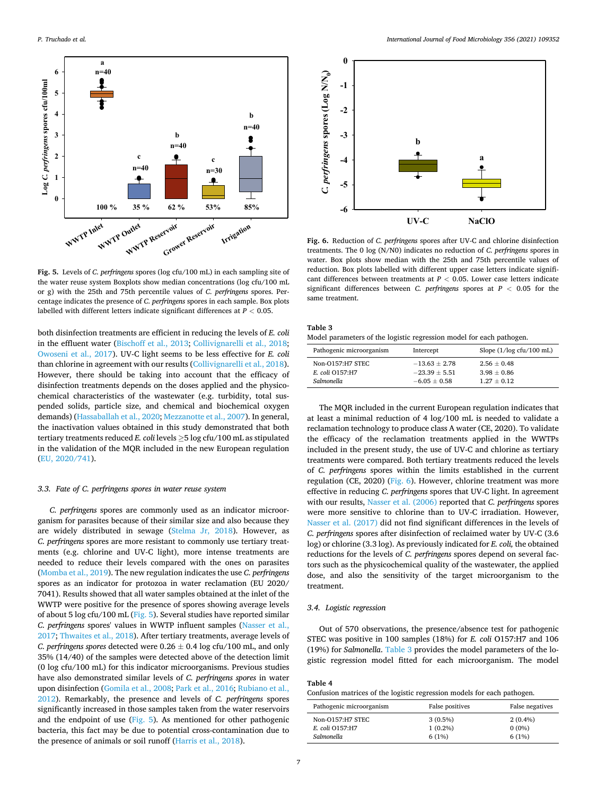<span id="page-6-0"></span>

**Fig. 5.** Levels of *C. perfringens* spores (log cfu/100 mL) in each sampling site of the water reuse system Boxplots show median concentrations (log cfu/100 mL or g) with the 25th and 75th percentile values of *C. perfringens* spores. Percentage indicates the presence of *C. perfringens* spores in each sample. Box plots labelled with different letters indicate significant differences at *P <* 0.05.

both disinfection treatments are efficient in reducing the levels of *E. coli*  in the effluent water ([Bischoff et al., 2013](#page-8-0); [Collivignarelli et al., 2018](#page-8-0); [Owoseni et al., 2017](#page-8-0)). UV-C light seems to be less effective for *E. coli*  than chlorine in agreement with our results ([Collivignarelli et al., 2018](#page-8-0)). However, there should be taking into account that the efficacy of disinfection treatments depends on the doses applied and the physicochemical characteristics of the wastewater (e.g. turbidity, total suspended solids, particle size, and chemical and biochemical oxygen demands) ([Hassaballah et al., 2020; Mezzanotte et al., 2007\)](#page-8-0). In general, the inactivation values obtained in this study demonstrated that both tertiary treatments reduced *E. coli* levels ≥5 log cfu/100 mL as stipulated in the validation of the MQR included in the new European regulation ([EU, 2020/741\)](#page-8-0).

# *3.3. Fate of C. perfringens spores in water reuse system*

*C. perfringens* spores are commonly used as an indicator microorganism for parasites because of their similar size and also because they are widely distributed in sewage [\(Stelma Jr, 2018](#page-8-0)). However, as *C. perfringens* spores are more resistant to commonly use tertiary treatments (e.g. chlorine and UV-C light), more intense treatments are needed to reduce their levels compared with the ones on parasites ([Momba et al., 2019\)](#page-8-0). The new regulation indicates the use *C. perfringens*  spores as an indicator for protozoa in water reclamation (EU 2020/ 7041). Results showed that all water samples obtained at the inlet of the WWTP were positive for the presence of spores showing average levels of about 5 log cfu/100 mL (Fig. 5). Several studies have reported similar *C. perfringens* spores' values in WWTP influent samples ([Nasser et al.,](#page-8-0)  [2017; Thwaites et al., 2018](#page-8-0)). After tertiary treatments, average levels of *C. perfringens spores* detected were  $0.26 \pm 0.4$  log cfu/100 mL, and only 35% (14/40) of the samples were detected above of the detection limit (0 log cfu/100 mL) for this indicator microorganisms. Previous studies have also demonstrated similar levels of *C. perfringens spores* in water upon disinfection ([Gomila et al., 2008](#page-8-0); [Park et al., 2016](#page-8-0); [Rubiano et al.,](#page-8-0)  [2012\)](#page-8-0). Remarkably, the presence and levels of *C. perfringens* spores significantly increased in those samples taken from the water reservoirs and the endpoint of use (Fig. 5). As mentioned for other pathogenic bacteria, this fact may be due to potential cross-contamination due to the presence of animals or soil runoff [\(Harris et al., 2018](#page-8-0)).



**Fig. 6.** Reduction of *C. perfringens* spores after UV-C and chlorine disinfection treatments. The 0 log (N/N0) indicates no reduction of *C. perfringens* spores in water. Box plots show median with the 25th and 75th percentile values of reduction. Box plots labelled with different upper case letters indicate significant differences between treatments at *P <* 0.05. Lower case letters indicate significant differences between *C. perfringens* spores at *P <* 0.05 for the same treatment.

| Table 3                                                              |  |
|----------------------------------------------------------------------|--|
| Model parameters of the logistic regression model for each pathogen. |  |

| Pathogenic microorganism | Intercept         | Slope $(1/\log c$ fu/100 mL) |  |  |
|--------------------------|-------------------|------------------------------|--|--|
| Non-O157:H7 STEC         | $-13.63 \pm 2.78$ | $2.56 + 0.48$                |  |  |
| E. coli O157:H7          | $-23.39 + 5.51$   | $3.98 + 0.86$                |  |  |
| Salmonella               | $-6.05 + 0.58$    | $1.27 + 0.12$                |  |  |

The MQR included in the current European regulation indicates that at least a minimal reduction of 4 log/100 mL is needed to validate a reclamation technology to produce class A water (CE, 2020). To validate the efficacy of the reclamation treatments applied in the WWTPs included in the present study, the use of UV-C and chlorine as tertiary treatments were compared. Both tertiary treatments reduced the levels of *C. perfringens* spores within the limits established in the current regulation (CE, 2020) (Fig. 6). However, chlorine treatment was more effective in reducing *C. perfringens* spores that UV-C light. In agreement with our results, [Nasser et al. \(2006\)](#page-8-0) reported that *C. perfringens* spores were more sensitive to chlorine than to UV-C irradiation. However, [Nasser et al. \(2017\)](#page-8-0) did not find significant differences in the levels of *C. perfringens* spores after disinfection of reclaimed water by UV-C (3.6 log) or chlorine (3.3 log). As previously indicated for *E. coli,* the obtained reductions for the levels of *C. perfringens* spores depend on several factors such as the physicochemical quality of the wastewater, the applied dose, and also the sensitivity of the target microorganism to the treatment.

# *3.4. Logistic regression*

Out of 570 observations, the presence/absence test for pathogenic STEC was positive in 100 samples (18%) for *E. coli* O157:H7 and 106 (19%) for *Salmonella*. Table 3 provides the model parameters of the logistic regression model fitted for each microorganism. The model

#### **Table 4**

Confusion matrices of the logistic regression models for each pathogen.

| Pathogenic microorganism | False positives | False negatives |  |  |
|--------------------------|-----------------|-----------------|--|--|
| Non-O157:H7 STEC         | $3(0.5\%)$      | $2(0.4\%)$      |  |  |
| E. coli O157:H7          | $1(0.2\%)$      | $0(0\%)$        |  |  |
| Salmonella               | 6(1%)           | 6(1%)           |  |  |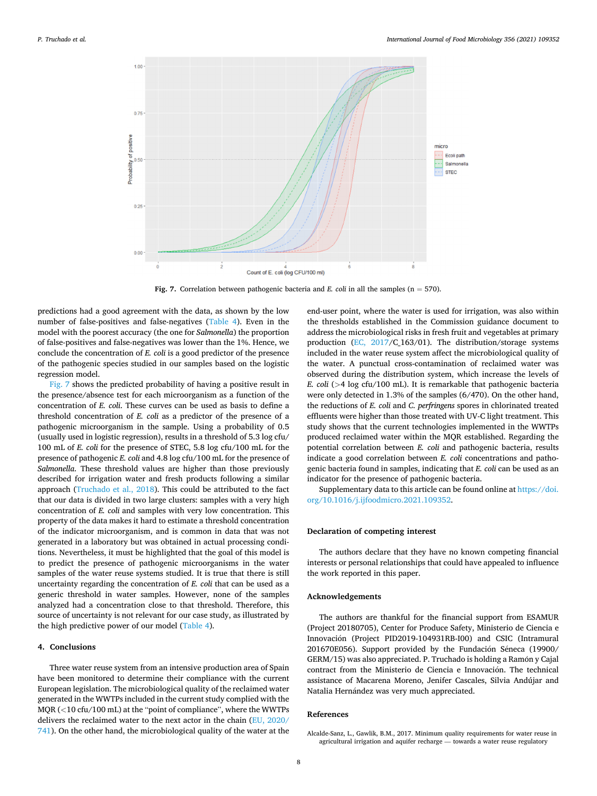<span id="page-7-0"></span>

**Fig. 7.** Correlation between pathogenic bacteria and *E. coli* in all the samples  $(n = 570)$ .

predictions had a good agreement with the data, as shown by the low number of false-positives and false-negatives [\(Table 4](#page-6-0)). Even in the model with the poorest accuracy (the one for *Salmonella*) the proportion of false-positives and false-negatives was lower than the 1%. Hence, we conclude the concentration of *E. coli* is a good predictor of the presence of the pathogenic species studied in our samples based on the logistic regression model.

Fig. 7 shows the predicted probability of having a positive result in the presence/absence test for each microorganism as a function of the concentration of *E. coli*. These curves can be used as basis to define a threshold concentration of *E. coli* as a predictor of the presence of a pathogenic microorganism in the sample. Using a probability of 0.5 (usually used in logistic regression), results in a threshold of 5.3 log cfu/ 100 mL of *E. coli* for the presence of STEC, 5.8 log cfu/100 mL for the presence of pathogenic *E. coli* and 4.8 log cfu/100 mL for the presence of *Salmonella*. These threshold values are higher than those previously described for irrigation water and fresh products following a similar approach [\(Truchado et al., 2018](#page-9-0)). This could be attributed to the fact that our data is divided in two large clusters: samples with a very high concentration of *E. coli* and samples with very low concentration. This property of the data makes it hard to estimate a threshold concentration of the indicator microorganism, and is common in data that was not generated in a laboratory but was obtained in actual processing conditions. Nevertheless, it must be highlighted that the goal of this model is to predict the presence of pathogenic microorganisms in the water samples of the water reuse systems studied. It is true that there is still uncertainty regarding the concentration of *E. coli* that can be used as a generic threshold in water samples. However, none of the samples analyzed had a concentration close to that threshold. Therefore, this source of uncertainty is not relevant for our case study, as illustrated by the high predictive power of our model [\(Table 4\)](#page-6-0).

## **4. Conclusions**

Three water reuse system from an intensive production area of Spain have been monitored to determine their compliance with the current European legislation. The microbiological quality of the reclaimed water generated in the WWTPs included in the current study complied with the MQR (*<*10 cfu/100 mL) at the "point of compliance", where the WWTPs delivers the reclaimed water to the next actor in the chain ([EU, 2020/](#page-8-0)  [741](#page-8-0)). On the other hand, the microbiological quality of the water at the end-user point, where the water is used for irrigation, was also within the thresholds established in the Commission guidance document to address the microbiological risks in fresh fruit and vegetables at primary production [\(EC, 2017](#page-8-0)/C\_163/01). The distribution/storage systems included in the water reuse system affect the microbiological quality of the water. A punctual cross-contamination of reclaimed water was observed during the distribution system, which increase the levels of *E. coli* (*>*4 log cfu/100 mL). It is remarkable that pathogenic bacteria were only detected in 1.3% of the samples (6/470). On the other hand, the reductions of *E. coli* and *C. perfringens* spores in chlorinated treated effluents were higher than those treated with UV-C light treatment. This study shows that the current technologies implemented in the WWTPs produced reclaimed water within the MQR established. Regarding the potential correlation between *E. coli* and pathogenic bacteria, results indicate a good correlation between *E. coli* concentrations and pathogenic bacteria found in samples, indicating that *E. coli* can be used as an indicator for the presence of pathogenic bacteria.

Supplementary data to this article can be found online at [https://doi.](https://doi.org/10.1016/j.ijfoodmicro.2021.109352)  [org/10.1016/j.ijfoodmicro.2021.109352.](https://doi.org/10.1016/j.ijfoodmicro.2021.109352)

# **Declaration of competing interest**

The authors declare that they have no known competing financial interests or personal relationships that could have appealed to influence the work reported in this paper.

## **Acknowledgements**

The authors are thankful for the financial support from ESAMUR (Project 20180705), Center for Produce Safety, Ministerio de Ciencia e Innovación (Project PID2019-104931RB-I00) and CSIC (Intramural 201670E056). Support provided by the Fundación Séneca (19900/ GERM/15) was also appreciated. P. Truchado is holding a Ramón y Cajal contract from the Ministerio de Ciencia e Innovación. The technical assistance of Macarena Moreno, Jenifer Cascales, Silvia Andújar and Natalia Hernández was very much appreciated.

# **References**

Alcalde-Sanz, L., Gawlik, B.M., 2017. Minimum quality requirements for water reuse in agricultural irrigation and aquifer recharge — towards a water reuse regulatory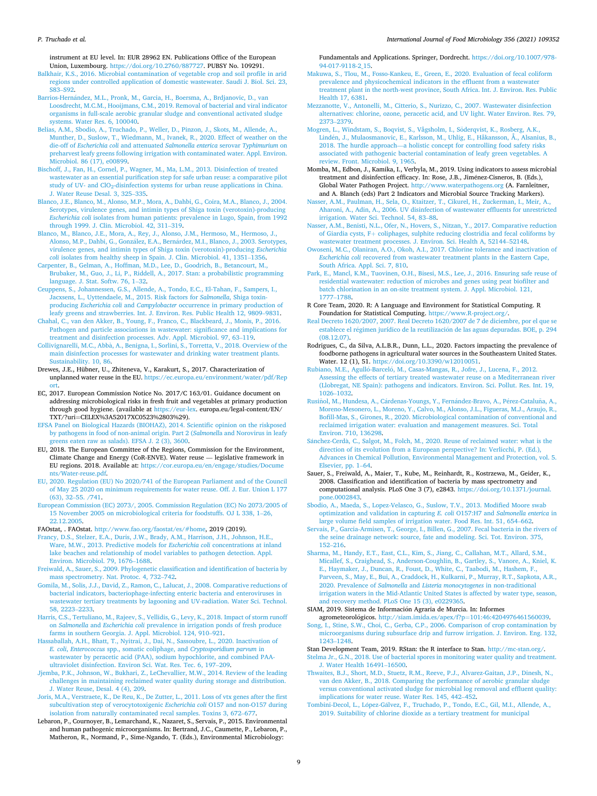#### <span id="page-8-0"></span>*P. Truchado et al.*

instrument at EU level. In: EUR 28962 EN. Publications Office of the European Union, Luxembourg. <https://doi.org/10.2760/887727>. PUBSY No. 109291.

- [Balkhair, K.S., 2016. Microbial contamination of vegetable crop and soil profile in arid](http://refhub.elsevier.com/S0168-1605(21)00311-1/rf0010) [regions under controlled application of domestic wastewater. Saudi J. Biol. Sci. 23,](http://refhub.elsevier.com/S0168-1605(21)00311-1/rf0010)  S83–[S92.](http://refhub.elsevier.com/S0168-1605(21)00311-1/rf0010)
- Barrios-Hernández, M.L., Pronk, M., Garcia, H., Boersma, A., Brdjanovic, D., van [Loosdrecht, M.C.M., Hooijmans, C.M., 2019. Removal of bacterial and viral indicator](http://refhub.elsevier.com/S0168-1605(21)00311-1/rf0015)  [organisms in full-scale aerobic granular sludge and conventional activated sludge](http://refhub.elsevier.com/S0168-1605(21)00311-1/rf0015)  [systems. Water Res. 6, 100040](http://refhub.elsevier.com/S0168-1605(21)00311-1/rf0015).
- [Belias, A.M., Sbodio, A., Truchado, P., Weller, D., Pinzon, J., Skots, M., Allende, A.,](http://refhub.elsevier.com/S0168-1605(21)00311-1/rf0020)  [Munther, D., Suslow, T., Wiedmann, M., Ivanek, R., 2020. Effect of weather on the](http://refhub.elsevier.com/S0168-1605(21)00311-1/rf0020)  die-off of *Escherichia coli* and attenuated *[Salmonella enterica](http://refhub.elsevier.com/S0168-1605(21)00311-1/rf0020)* serovar *Typhimurium* on [preharvest leafy greens following irrigation with contaminated water. Appl. Environ.](http://refhub.elsevier.com/S0168-1605(21)00311-1/rf0020)  [Microbiol. 86 \(17\), e00899](http://refhub.elsevier.com/S0168-1605(21)00311-1/rf0020).
- [Bischoff, J., Fan, H., Cornel, P., Wagner, M., Ma, L.M., 2013. Disinfection of treated](http://refhub.elsevier.com/S0168-1605(21)00311-1/rf0025) [wastewater as an essential purification step for safe urban reuse: a comparative pilot](http://refhub.elsevier.com/S0168-1605(21)00311-1/rf0025)  study of UV- and ClO<sub>2</sub>-disinfection systems for urban reuse applications in China. [J. Water Reuse Desal. 3, 325](http://refhub.elsevier.com/S0168-1605(21)00311-1/rf0025)–335.
- [Blanco, J.E., Blanco, M., Alonso, M.P., Mora, A., Dahbi, G., Coira, M.A., Blanco, J., 2004.](http://refhub.elsevier.com/S0168-1605(21)00311-1/rf0030)  [Serotypes, virulence genes, and intimin types of Shiga toxin \(verotoxin\)-producing](http://refhub.elsevier.com/S0168-1605(21)00311-1/rf0030) *Escherichia coli* [isolates from human patients: prevalence in Lugo, Spain, from 1992](http://refhub.elsevier.com/S0168-1605(21)00311-1/rf0030)  [through 1999. J. Clin. Microbiol. 42, 311](http://refhub.elsevier.com/S0168-1605(21)00311-1/rf0030)–319.
- [Blanco, M., Blanco, J.E., Mora, A., Rey, J., Alonso, J.M., Hermoso, M., Hermoso, J.,](http://refhub.elsevier.com/S0168-1605(21)00311-1/rf0035)  Alonso, M.P., Dahbi, G., González, E.A., Bernárdez, M.I., Blanco, J., 2003. Serotypes, [virulence genes, and intimin types of Shiga toxin \(verotoxin\)-producing](http://refhub.elsevier.com/S0168-1605(21)00311-1/rf0035) *Escherichia coli [isolates from healthy sheep in Spain. J. Clin. Microbiol. 41, 1351](http://refhub.elsevier.com/S0168-1605(21)00311-1/rf0035)-1356.*
- [Carpenter, B., Gelman, A., Hoffman, M.D., Lee, D., Goodrich, B., Betancourt, M.,](http://refhub.elsevier.com/S0168-1605(21)00311-1/rf0040)  [Brubaker, M., Guo, J., Li, P., Riddell, A., 2017. Stan: a probabilistic programming](http://refhub.elsevier.com/S0168-1605(21)00311-1/rf0040) [language. J. Stat. Softw. 76, 1](http://refhub.elsevier.com/S0168-1605(21)00311-1/rf0040)–32.
- [Ceuppens, S., Johannessen, G.S., Allende, A., Tondo, E.C., El-Tahan, F., Sampers, I.,](http://refhub.elsevier.com/S0168-1605(21)00311-1/rf0045)  [Jacxsens, L., Uyttendaele, M., 2015. Risk factors for](http://refhub.elsevier.com/S0168-1605(21)00311-1/rf0045) *Salmonella*, Shiga toxinproducing *Escherichia coli* and *Campylobacter* [occurrence in primary production of](http://refhub.elsevier.com/S0168-1605(21)00311-1/rf0045) [leafy greens and strawberries. Int. J. Environ. Res. Public Health 12, 9809](http://refhub.elsevier.com/S0168-1605(21)00311-1/rf0045)–9831.
- [Chahal, C., van den Akker, B., Young, F., Franco, C., Blackbeard, J., Monis, P., 2016.](http://refhub.elsevier.com/S0168-1605(21)00311-1/rf0050) [Pathogen and particle associations in wastewater: significance and implications for](http://refhub.elsevier.com/S0168-1605(21)00311-1/rf0050) [treatment and disinfection processes. Adv. Appl. Microbiol. 97, 63](http://refhub.elsevier.com/S0168-1605(21)00311-1/rf0050)–119.
- Collivignarelli, M.C., Abbà, A., Benigna, I., Sorlini, S., Torretta, V., 2018. Overview of the [main disinfection processes for wastewater and drinking water treatment plants.](http://refhub.elsevier.com/S0168-1605(21)00311-1/rf0055) [Sustainability. 10, 86](http://refhub.elsevier.com/S0168-1605(21)00311-1/rf0055).
- Drewes, J.E., Hübner, U., Zhiteneva, V., Karakurt, S., 2017. Characterization of unplanned water reuse in the EU. [https://ec.europa.eu/environment/water/pdf/Rep](https://ec.europa.eu/environment/water/pdf/Report)  [ort.](https://ec.europa.eu/environment/water/pdf/Report)
- EC, 2017. European Commission Notice No. 2017/C 163/01. Guidance document on addressing microbiological risks in fresh fruit and vegetables at primary production through good hygiene. (available at <https://eur-lex>. europa.eu/legal-content/EN/ TXT/?uri=CELEX%3A52017XC0523%2803%29).
- [EFSA Panel on Biological Hazards \(BIOHAZ\), 2014. Scientific opinion on the riskposed](http://refhub.elsevier.com/S0168-1605(21)00311-1/rf0070)  [by pathogens in food of non-animal origin. Part 2 \(](http://refhub.elsevier.com/S0168-1605(21)00311-1/rf0070)*Salmonell*a and Norovirus in leafy eens eaten raw as salads). EFSA J. 2 (3), 3600.
- EU, 2018. The European Committee of the Regions, Commission for the Environment, Climate Change and Energy (CoR-ENVE). Water reuse — legislative framework in EU regions. 2018. Available at: [https://cor.europa.eu/en/engage/studies/Docume](https://cor.europa.eu/en/engage/studies/Documents/Water-reuse.pdf) [nts/Water-reuse.pdf.](https://cor.europa.eu/en/engage/studies/Documents/Water-reuse.pdf)
- [EU, 2020. Regulation \(EU\) No 2020/741 of the European Parliament and of the Council](http://refhub.elsevier.com/S0168-1605(21)00311-1/rf0080)  [of May 25 2020 on minimum requirements for water reuse. Off. J. Eur. Union L 177](http://refhub.elsevier.com/S0168-1605(21)00311-1/rf0080)  (63), 32–[55. /741.](http://refhub.elsevier.com/S0168-1605(21)00311-1/rf0080)
- [European Commission \(EC\) 2073/, 2005. Commission Regulation \(EC\) No 2073/2005 of](http://refhub.elsevier.com/S0168-1605(21)00311-1/rf0085)  [15 November 2005 on microbiological criteria for foodstuffs. OJ L 338, 1](http://refhub.elsevier.com/S0168-1605(21)00311-1/rf0085)–26, [22.12.2005.](http://refhub.elsevier.com/S0168-1605(21)00311-1/rf0085)
- FAOstat, . FAOstat. [http://www.fao.org/faostat/es/#home,](http://www.fao.org/faostat/es/#home) 2019 (2019).
- [Francy, D.S., Stelzer, E.A., Duris, J.W., Brady, A.M., Harrison, J.H., Johnson, H.E.,](http://refhub.elsevier.com/S0168-1605(21)00311-1/rf0095)  [Ware, M.W., 2013. Predictive models for](http://refhub.elsevier.com/S0168-1605(21)00311-1/rf0095) *Escherichia coli* concentrations at inland [lake beaches and relationship of model variables to pathogen detection. Appl.](http://refhub.elsevier.com/S0168-1605(21)00311-1/rf0095) [Environ. Microbiol. 79, 1676](http://refhub.elsevier.com/S0168-1605(21)00311-1/rf0095)–1688.
- [Freiwald, A., Sauer, S., 2009. Phylogenetic classification and identification of bacteria by](http://refhub.elsevier.com/S0168-1605(21)00311-1/rf0100)  [mass spectrometry. Nat. Protoc. 4, 732](http://refhub.elsevier.com/S0168-1605(21)00311-1/rf0100)–742.
- [Gomila, M., Solis, J.J., David, Z., Ramon, C., Lalucat, J., 2008. Comparative reductions of](http://refhub.elsevier.com/S0168-1605(21)00311-1/rf0110)  [bacterial indicators, bacteriophage-infecting enteric bacteria and enteroviruses in](http://refhub.elsevier.com/S0168-1605(21)00311-1/rf0110) [wastewater tertiary treatments by lagooning and UV-radiation. Water Sci. Technol.](http://refhub.elsevier.com/S0168-1605(21)00311-1/rf0110)  [58, 2223](http://refhub.elsevier.com/S0168-1605(21)00311-1/rf0110)–2233.
- [Harris, C.S., Tertuliano, M., Rajeev, S., Vellidis, G., Levy, K., 2018. Impact of storm runoff](http://refhub.elsevier.com/S0168-1605(21)00311-1/rf0115)  on *Salmonella* and *Escherichia coli* [prevalence in irrigation ponds of fresh produce](http://refhub.elsevier.com/S0168-1605(21)00311-1/rf0115) [farms in southern Georgia. J. Appl. Microbiol. 124, 910](http://refhub.elsevier.com/S0168-1605(21)00311-1/rf0115)–921.
- [Hassaballah, A.H., Bhatt, T., Nyitrai, J., Dai, N., Sassoubre, L., 2020. Inactivation of](http://refhub.elsevier.com/S0168-1605(21)00311-1/rf0120) *E. coli*, *Enterococcus* [spp., somatic coliphage, and](http://refhub.elsevier.com/S0168-1605(21)00311-1/rf0120) *Cryptosporidium parvum* in astewater by peracetic acid (PAA), sodium hypochlorite, and combined PAA[ultraviolet disinfection. Environ Sci. Wat. Res. Tec. 6, 197](http://refhub.elsevier.com/S0168-1605(21)00311-1/rf0120)–209.
- [Jjemba, P.K., Johnson, W., Bukhari, Z., LeChevallier, M.W., 2014. Review of the leading](http://refhub.elsevier.com/S0168-1605(21)00311-1/rf0125)  [challenges in maintaining reclaimed water quality during storage and distribution.](http://refhub.elsevier.com/S0168-1605(21)00311-1/rf0125)  [J. Water Reuse, Desal. 4 \(4\), 209](http://refhub.elsevier.com/S0168-1605(21)00311-1/rf0125).
- [Joris, M.A., Verstraete, K., De Reu, K., De Zutter, L., 2011. Loss of vtx genes after the first](http://refhub.elsevier.com/S0168-1605(21)00311-1/rf0130)  [subcultivation step of verocytotoxigenic](http://refhub.elsevier.com/S0168-1605(21)00311-1/rf0130) *Escherichia coli* O157 and non-O157 during [isolation from naturally contaminated recal samples. Toxins 3, 672](http://refhub.elsevier.com/S0168-1605(21)00311-1/rf0130)–677.
- Lebaron, P., Cournoyer, B., Lemarchand, K., Nazaret, S., Servais, P., 2015. Environmental and human pathogenic microorganisms. In: Bertrand, J.C., Caumette, P., Lebaron, P., Matheron, R., Normand, P., Sime-Ngando, T. (Eds.), Environmental Microbiology:

Fundamentals and Applications. Springer, Dordrecht. [https://doi.org/10.1007/978-](https://doi.org/10.1007/978-94-017-9118-2_15)  [94-017-9118-2\\_15.](https://doi.org/10.1007/978-94-017-9118-2_15)

- [Makuwa, S., Tlou, M., Fosso-Kankeu, E., Green, E., 2020. Evaluation of fecal coliform](http://refhub.elsevier.com/S0168-1605(21)00311-1/rf0140) prevalence and physicochemical indicators in the effluent from a wastewate [treatment plant in the north-west province, South Africa. Int. J. Environ. Res. Public](http://refhub.elsevier.com/S0168-1605(21)00311-1/rf0140)  [Health 17, 6381.](http://refhub.elsevier.com/S0168-1605(21)00311-1/rf0140)
- [Mezzanotte, V., Antonelli, M., Citterio, S., Nurizzo, C., 2007. Wastewater disinfection](http://refhub.elsevier.com/S0168-1605(21)00311-1/rf0145) [alternatives: chlorine, ozone, peracetic acid, and UV light. Water Environ. Res. 79,](http://refhub.elsevier.com/S0168-1605(21)00311-1/rf0145)  [2373](http://refhub.elsevier.com/S0168-1605(21)00311-1/rf0145)–2379.
- Mogren, L., Windstam, S., Boqvist, S., Vågsholm, I., Söderqvist, K., Rosberg, A.K., Lind´[en, J., Mulaosmanovic, E., Karlsson, M., Uhlig, E., Håkansson, Å., Alsanius, B.,](http://refhub.elsevier.com/S0168-1605(21)00311-1/rf0150) 2018. The hurdle approach—[a holistic concept for controlling food safety risks](http://refhub.elsevier.com/S0168-1605(21)00311-1/rf0150) [associated with pathogenic bacterial contamination of leafy green vegetables. A](http://refhub.elsevier.com/S0168-1605(21)00311-1/rf0150) [review. Front. Microbiol. 9, 1965.](http://refhub.elsevier.com/S0168-1605(21)00311-1/rf0150)
- Momba, M., Edbon, J., Kamika, I., Verbyla, M., 2019. Using indicators to assess microbial treatment and disinfection efficacy. In: Rose, J.B., Jiménez-Cisneros, B. (Eds.), Global Water Pathogen Project.<http://www.waterpathogens.org>(A. Farnleitner, and A. Blanch (eds) Part 2 Indicators and Microbial Source Tracking Markers).
- [Nasser, A.M., Paulman, H., Sela, O., Ktaitzer, T., Cikurel, H., Zuckerman, I., Meir, A.,](http://refhub.elsevier.com/S0168-1605(21)00311-1/rf0165)  [Aharoni, A., Adin, A., 2006. UV disinfection of wastewater effluents for unrestricted](http://refhub.elsevier.com/S0168-1605(21)00311-1/rf0165)  [irrigation. Water Sci. Technol. 54, 83](http://refhub.elsevier.com/S0168-1605(21)00311-1/rf0165)–88.
- [Nasser, A.M., Benisti, N.L., Ofer, N., Hovers, S., Nitzan, Y., 2017. Comparative reduction](http://refhub.elsevier.com/S0168-1605(21)00311-1/rf0170)  of Giardia cysts, F+ [coliphages, sulphite reducing clostridia and fecal coliforms by](http://refhub.elsevier.com/S0168-1605(21)00311-1/rf0170)  [wastewater treatment processes. J. Environ. Sci. Health A, 52144](http://refhub.elsevier.com/S0168-1605(21)00311-1/rf0170)–52148.
- [Owoseni, M.C., Olaniran, A.O., Okoh, A.I., 2017. Chlorine tolerance and inactivation of](http://refhub.elsevier.com/S0168-1605(21)00311-1/rf0180)  *Escherichia coli* [recovered from wastewater treatment plants in the Eastern Cape,](http://refhub.elsevier.com/S0168-1605(21)00311-1/rf0180) [South Africa. Appl. Sci. 7, 810](http://refhub.elsevier.com/S0168-1605(21)00311-1/rf0180).
- [Park, E., Mancl, K.M., Tuovinen, O.H., Bisesi, M.S., Lee, J., 2016. Ensuring safe reuse of](http://refhub.elsevier.com/S0168-1605(21)00311-1/rf0185)  [residential wastewater: reduction of microbes and genes using peat biofilter and](http://refhub.elsevier.com/S0168-1605(21)00311-1/rf0185)  [batch chlorination in an on-site treatment system. J. Appl. Microbiol. 121,](http://refhub.elsevier.com/S0168-1605(21)00311-1/rf0185) [1777](http://refhub.elsevier.com/S0168-1605(21)00311-1/rf0185)–1788.
- R Core Team, 2020. R: A Language and Environment for Statistical Computing. R Foundation for Statistical Computing. [https://www.R-project.org/.](https://www.R-project.org/)
- [Real Decreto 1620/2007, 2007. Real Decreto 1620/2007 de 7 de diciembre, por el que se](http://refhub.elsevier.com/S0168-1605(21)00311-1/rf0195)  establece el régimen jurídico de la reutilización de las aguas depuradas. BOE, p. 294 [\(08.12.07\)](http://refhub.elsevier.com/S0168-1605(21)00311-1/rf0195).
- Rodrigues, C., da Silva, A.L.B.R., Dunn, L.L., 2020. Factors impacting the prevalence of foodborne pathogens in agricultural water sources in the Southeastern United States. Water. 12 (1), 51. [https://doi.org/10.3390/w12010051.](https://doi.org/10.3390/w12010051)
- Rubiano, M.E., Agulló-Barceló, M., Casas-Mangas, R., Jofre, J., Lucena, F., 2012. [Assessing the effects of tertiary treated wastewater reuse on a Mediterranean river](http://refhub.elsevier.com/S0168-1605(21)00311-1/rf0205) [\(Llobregat, NE Spain\): pathogens and indicators. Environ. Sci. Pollut. Res. Int. 19,](http://refhub.elsevier.com/S0168-1605(21)00311-1/rf0205)  [1026](http://refhub.elsevier.com/S0168-1605(21)00311-1/rf0205)–1032.
- Rusiñol, M., Hundesa, A., Cárdenas-Youngs, Y., Fernández-Bravo, A., Pérez-Cataluña, A., [Moreno-Mesonero, L., Moreno, Y., Calvo, M., Alonso, J.L., Figueras, M.J., Araujo, R.,](http://refhub.elsevier.com/S0168-1605(21)00311-1/rf0210)  [Bofill-Mas, S., Girones, R., 2020. Microbiological contamination of conventional and](http://refhub.elsevier.com/S0168-1605(21)00311-1/rf0210)  [reclaimed irrigation water: evaluation and management measures. Sci. Total](http://refhub.elsevier.com/S0168-1605(21)00311-1/rf0210)  [Environ. 710, 136298.](http://refhub.elsevier.com/S0168-1605(21)00311-1/rf0210)
- Sánchez-Cerdà, C., Salgot, M., Folch, M., 2020. Reuse of reclaimed water: what is the [direction of its evolution from a European perspective? In: Verlicchi, P. \(Ed.\),](http://refhub.elsevier.com/S0168-1605(21)00311-1/rf0215) [Advances in Chemical Pollution, Environmental Management and Protection, vol. 5.](http://refhub.elsevier.com/S0168-1605(21)00311-1/rf0215)  [Elsevier, pp. 1](http://refhub.elsevier.com/S0168-1605(21)00311-1/rf0215)–64.
- Sauer, S., Freiwald, A., Maier, T., Kube, M., Reinhardt, R., Kostrzewa, M., Geider, K., 2008. Classification and identification of bacteria by mass spectrometry and computational analysis. PLoS One 3 (7), e2843. [https://doi.org/10.1371/journal.](https://doi.org/10.1371/journal.pone.0002843) [pone.0002843](https://doi.org/10.1371/journal.pone.0002843).

[Sbodio, A., Maeda, S., Lopez-Velasco, G., Suslow, T.V., 2013. Modified Moore swab](http://refhub.elsevier.com/S0168-1605(21)00311-1/rf0225) [optimization and validation in capturing](http://refhub.elsevier.com/S0168-1605(21)00311-1/rf0225) *E. coli* O157:H7 and *Salmonella enterica* in [large volume field samples of irrigation water. Food Res. Int. 51, 654](http://refhub.elsevier.com/S0168-1605(21)00311-1/rf0225)–662.

- [Servais, P., Garcia-Armisen, T., George, I., Billen, G., 2007. Fecal bacteria in the rivers of](http://refhub.elsevier.com/S0168-1605(21)00311-1/rf0230)  [the seine drainage network: source, fate and modeling. Sci. Tot. Environ. 375,](http://refhub.elsevier.com/S0168-1605(21)00311-1/rf0230)  152–[216](http://refhub.elsevier.com/S0168-1605(21)00311-1/rf0230).
- [Sharma, M., Handy, E.T., East, C.L., Kim, S., Jiang, C., Callahan, M.T., Allard, S.M.,](http://refhub.elsevier.com/S0168-1605(21)00311-1/rf0235) [Micallef, S., Craighead, S., Anderson-Coughlin, B., Gartley, S., Vanore, A., Kniel, K.](http://refhub.elsevier.com/S0168-1605(21)00311-1/rf0235)  [E., Haymaker, J., Duncan, R., Foust, D., White, C., Taabodi, M., Hashem, F.,](http://refhub.elsevier.com/S0168-1605(21)00311-1/rf0235) [Parveen, S., May, E., Bui, A., Craddock, H., Kulkarni, P., Murray, R.T., Sapkota, A.R.,](http://refhub.elsevier.com/S0168-1605(21)00311-1/rf0235)  2020. Prevalence of *Salmonella* and *[Listeria monocytogenes](http://refhub.elsevier.com/S0168-1605(21)00311-1/rf0235)* in non-traditional [irrigation waters in the Mid-Atlantic United States is affected by water type, season,](http://refhub.elsevier.com/S0168-1605(21)00311-1/rf0235)  [and recovery method. PLoS One 15 \(3\), e0229365](http://refhub.elsevier.com/S0168-1605(21)00311-1/rf0235).
- SIAM, 2019. Sistema de Información Agraria de Murcia. In: Informes
- agrometeorológicos. [http://siam.imida.es/apex/f?p](http://siam.imida.es/apex/f?p=101:46:4204976461560039)=101:46:4204976461560039. [Song, I., Stine, S.W., Choi, C., Gerba, C.P., 2006. Comparison of crop contamination by](http://refhub.elsevier.com/S0168-1605(21)00311-1/rf0240)  [microorganisms during subsurface drip and furrow irrigation. J. Environ. Eng. 132,](http://refhub.elsevier.com/S0168-1605(21)00311-1/rf0240)  [1243](http://refhub.elsevier.com/S0168-1605(21)00311-1/rf0240)–1248.
- Stan Development Team, 2019. RStan: the R interface to Stan. [http://mc-stan.org/.](http://mc-stan.org/) [Stelma Jr., G.N., 2018. Use of bacterial spores in monitoring water quality and treatment.](http://refhub.elsevier.com/S0168-1605(21)00311-1/rf0250)  [J. Water Health 16491](http://refhub.elsevier.com/S0168-1605(21)00311-1/rf0250)–16500.
- [Thwaites, B.J., Short, M.D., Stuetz, R.M., Reeve, P.J., Alvarez-Gaitan, J.P., Dinesh, N.,](http://refhub.elsevier.com/S0168-1605(21)00311-1/rf0255) [van den Akker, B., 2018. Comparing the performance of aerobic granular sludge](http://refhub.elsevier.com/S0168-1605(21)00311-1/rf0255)  [versus conventional activated sludge for microbial log removal and effluent quality:](http://refhub.elsevier.com/S0168-1605(21)00311-1/rf0255)  [implications for water reuse. Water Res. 145, 442](http://refhub.elsevier.com/S0168-1605(21)00311-1/rf0255)–452.
- Tombini-Decol, L., López-Gálvez, F., Truchado, P., Tondo, E.C., Gil, M.I., Allende, A., [2019. Suitability of chlorine dioxide as a tertiary treatment for municipal](http://refhub.elsevier.com/S0168-1605(21)00311-1/rf0260)